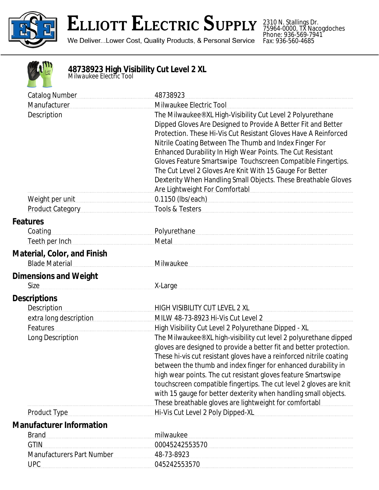

## **ELLIOTT ELECTRIC SUPPLY**

We Deliver...Lower Cost, Quality Products, & Personal Service

2310 N. Stallings Dr. 75964-0000, TX Nacogdoches Phone: 936-569-7941 Fax: 936-560-4685



## **48738923 High Visibility Cut Level 2 XL** *Milwaukee Electric Tool*

| <b>Catalog Number</b>                                       | 48738923                                                                                                                                                                                                                                                                                                                                                                                                                                                                                                                                               |
|-------------------------------------------------------------|--------------------------------------------------------------------------------------------------------------------------------------------------------------------------------------------------------------------------------------------------------------------------------------------------------------------------------------------------------------------------------------------------------------------------------------------------------------------------------------------------------------------------------------------------------|
| Manufacturer                                                | Milwaukee Electric Tool                                                                                                                                                                                                                                                                                                                                                                                                                                                                                                                                |
| Description                                                 | The Milwaukee® XL High-Visibility Cut Level 2 Polyurethane<br>Dipped Gloves Are Designed to Provide A Better Fit and Better<br>Protection. These Hi-Vis Cut Resistant Gloves Have A Reinforced<br>Nitrile Coating Between The Thumb and Index Finger For<br>Enhanced Durability In High Wear Points. The Cut Resistant<br>Gloves Feature Smartswipe Touchscreen Compatible Fingertips.<br>The Cut Level 2 Gloves Are Knit With 15 Gauge For Better<br>Dexterity When Handling Small Objects. These Breathable Gloves<br>Are Lightweight For Comfortabl |
| Weight per unit                                             | 0.1150 (lbs/each) example and the state of the state of the state of the state of the state of the state of the state of the state of the state of the state of the state of the state of the state of the state of the state                                                                                                                                                                                                                                                                                                                          |
| Product Category                                            | Tools & Testers                                                                                                                                                                                                                                                                                                                                                                                                                                                                                                                                        |
| <b>Features</b>                                             |                                                                                                                                                                                                                                                                                                                                                                                                                                                                                                                                                        |
| Coating                                                     | Polyurethane                                                                                                                                                                                                                                                                                                                                                                                                                                                                                                                                           |
| Teeth per Inch <b>Example 20</b> Teeth per Inch             | Metal                                                                                                                                                                                                                                                                                                                                                                                                                                                                                                                                                  |
| <b>Material, Color, and Finish</b><br><b>Blade Material</b> | Milwaukee                                                                                                                                                                                                                                                                                                                                                                                                                                                                                                                                              |
| <b>Dimensions and Weight</b>                                |                                                                                                                                                                                                                                                                                                                                                                                                                                                                                                                                                        |
| Size                                                        | X-Large                                                                                                                                                                                                                                                                                                                                                                                                                                                                                                                                                |
| <b>Descriptions</b>                                         |                                                                                                                                                                                                                                                                                                                                                                                                                                                                                                                                                        |
| <b>Description</b>                                          | HIGH VISIBILITY CUT LEVEL 2 XL                                                                                                                                                                                                                                                                                                                                                                                                                                                                                                                         |
| extra long description                                      | MILW 48-73-8923 Hi-Vis Cut Level 2                                                                                                                                                                                                                                                                                                                                                                                                                                                                                                                     |
| Features                                                    | High Visibility Cut Level 2 Polyurethane Dipped - XL                                                                                                                                                                                                                                                                                                                                                                                                                                                                                                   |
| Long Description                                            | The Milwaukee® XL high-visibility cut level 2 polyurethane dipped<br>gloves are designed to provide a better fit and better protection.<br>These hi-vis cut resistant gloves have a reinforced nitrile coating<br>between the thumb and index finger for enhanced durability in<br>high wear points. The cut resistant gloves feature Smartswipe<br>touchscreen compatible fingertips. The cut level 2 gloves are knit<br>with 15 gauge for better dexterity when handling small objects.<br>These breathable gloves are lightweight for comfortabl    |
| <b>Product Type</b>                                         | Hi-Vis Cut Level 2 Poly Dipped-XL                                                                                                                                                                                                                                                                                                                                                                                                                                                                                                                      |
| <b>Manufacturer Information</b>                             |                                                                                                                                                                                                                                                                                                                                                                                                                                                                                                                                                        |
| <b>Brand</b>                                                | milwaukee                                                                                                                                                                                                                                                                                                                                                                                                                                                                                                                                              |
| <b>GTIN</b>                                                 | 00045242553570                                                                                                                                                                                                                                                                                                                                                                                                                                                                                                                                         |
| <b>Manufacturers Part Number</b>                            | 48-73-8923                                                                                                                                                                                                                                                                                                                                                                                                                                                                                                                                             |
| <b>UPC</b>                                                  | 045242553570                                                                                                                                                                                                                                                                                                                                                                                                                                                                                                                                           |